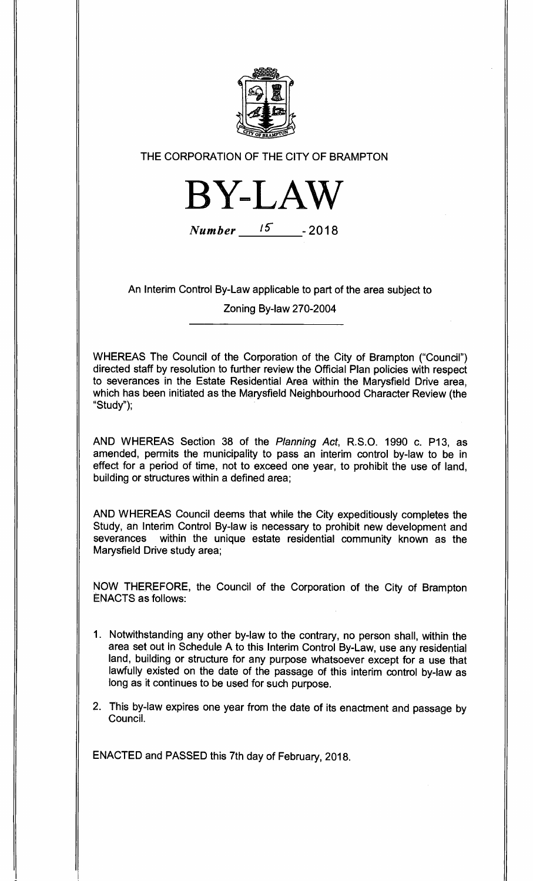

**THE CORPORATION OF THE CITY OF BRAMPTON** 



**Number - 2018** 

**An Interim Control By-Law applicable to part of the area subject to** 

**Zoning By-law 270-2004** 

**WHEREAS The Council of the Corporation of the City of Brampton ("Council") directed staff by resolution to further review the Official Plan policies with respect to severances in the Estate Residential Area within the Marysfield Drive area, which has been initiated as the Marysfield Neighbourhood Character Review (the "Study");** 

**AND WHEREAS Section 38 of the Planning Act, R.S.O. 1990 c. P13, as amended, permits the municipality to pass an interim control by-law to be in effect for a period of time, not to exceed one year, to prohibit the use of land, building or structures within a defined area;** 

**AND WHEREAS Council deems that while the City expeditiously completes the Study, an Interim Control By-law is necessary to prohibit new development and**  within the unique estate residential community known as the **Marysfield Drive study area;** 

**NOW THEREFORE, the Council of the Corporation of the City of Brampton ENACTS as follows:** 

- **1. Notwithstanding any other by-law to the contrary, no person shall, within the area set out in Schedule A to this Interim Control By-Law, use any residential land, building or structure for any purpose whatsoever except for a use that lawfully existed on the date of the passage of this interim control by-law as long as it continues to be used for such purpose.**
- **2. This by-law expires one year from the date of its enactment and passage by Council.**

**ENACTED and PASSED this 7th day of February, 2018.**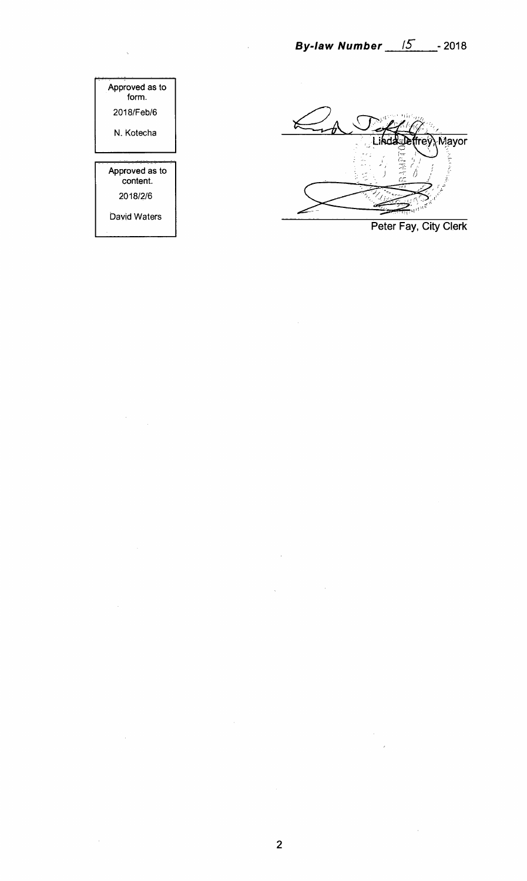

**Peter Fay, City Clerk** 

 $\mathcal{L}$ 

Approved as to form. 2018/Feb/6 N. Kotecha Approved as to content. 2018/2/6 David Waters

 $\hat{\mathcal{A}}$ 

 $\mathcal{A}^{\mathcal{A}}$ 

 $\hat{\boldsymbol{\beta}}$ 

 $\sim$   $\sim$